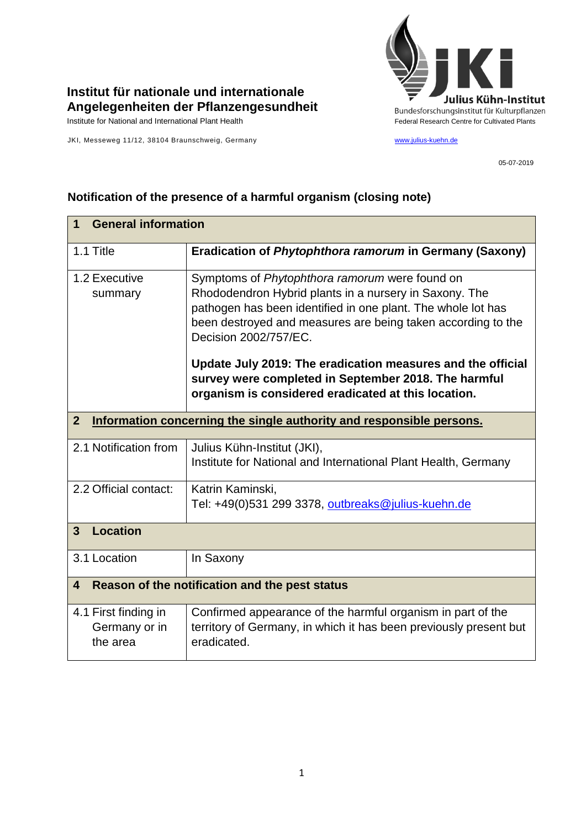

## **Institut für nationale und internationale Angelegenheiten der Pflanzengesundheit**

Institute for National and International Plant Health Feature And Theorem Centre for Cultivated Plants Centre for Cultivated Plants

JKI, Messeweg 11/12, 38104 Braunschweig, Germany [www.julius-kuehn.de](http://www.julius-kuehn.de/)

05-07-2019

## **1 General information** 1.1 Title **Eradication of** *Phytophthora ramorum* **in Germany (Saxony)** 1.2 Executive summary Symptoms of *Phytophthora ramorum* were found on Rhododendron Hybrid plants in a nursery in Saxony. The pathogen has been identified in one plant. The whole lot has been destroyed and measures are being taken according to the Decision 2002/757/EC. **Update July 2019: The eradication measures and the official survey were completed in September 2018. The harmful organism is considered eradicated at this location. 2 Information concerning the single authority and responsible persons.** 2.1 Notification from  $\vert$  Julius Kühn-Institut (JKI), Institute for National and International Plant Health, Germany 2.2 Official contact: | Katrin Kaminski, Tel: +49(0)531 299 3378, [outbreaks@julius-kuehn.de](mailto:outbreaks@julius-kuehn.de) **3 Location**  3.1 Location | In Saxony **4 Reason of the notification and the pest status** 4.1 First finding in Germany or in the area Confirmed appearance of the harmful organism in part of the territory of Germany, in which it has been previously present but eradicated.

## **Notification of the presence of a harmful organism (closing note)**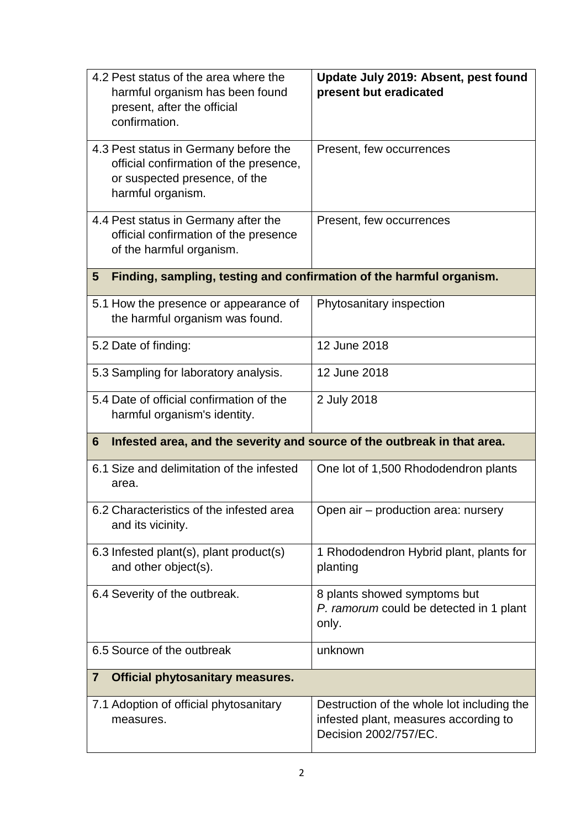| 4.2 Pest status of the area where the<br>harmful organism has been found<br>present, after the official<br>confirmation.              | Update July 2019: Absent, pest found<br>present but eradicated                                               |
|---------------------------------------------------------------------------------------------------------------------------------------|--------------------------------------------------------------------------------------------------------------|
| 4.3 Pest status in Germany before the<br>official confirmation of the presence,<br>or suspected presence, of the<br>harmful organism. | Present, few occurrences                                                                                     |
| 4.4 Pest status in Germany after the<br>official confirmation of the presence<br>of the harmful organism.                             | Present, few occurrences                                                                                     |
| Finding, sampling, testing and confirmation of the harmful organism.<br>5                                                             |                                                                                                              |
| 5.1 How the presence or appearance of<br>the harmful organism was found.                                                              | Phytosanitary inspection                                                                                     |
| 5.2 Date of finding:                                                                                                                  | 12 June 2018                                                                                                 |
| 5.3 Sampling for laboratory analysis.                                                                                                 | 12 June 2018                                                                                                 |
| 5.4 Date of official confirmation of the<br>harmful organism's identity.                                                              | 2 July 2018                                                                                                  |
| Infested area, and the severity and source of the outbreak in that area.<br>6                                                         |                                                                                                              |
| 6.1 Size and delimitation of the infested<br>area.                                                                                    | One lot of 1,500 Rhododendron plants                                                                         |
| 6.2 Characteristics of the infested area<br>and its vicinity.                                                                         | Open air - production area: nursery                                                                          |
| 6.3 Infested plant(s), plant product(s)<br>and other object(s).                                                                       | 1 Rhododendron Hybrid plant, plants for<br>planting                                                          |
| 6.4 Severity of the outbreak.                                                                                                         | 8 plants showed symptoms but<br>P. ramorum could be detected in 1 plant<br>only.                             |
| 6.5 Source of the outbreak                                                                                                            | unknown                                                                                                      |
| $\overline{7}$<br><b>Official phytosanitary measures.</b>                                                                             |                                                                                                              |
| 7.1 Adoption of official phytosanitary<br>measures.                                                                                   | Destruction of the whole lot including the<br>infested plant, measures according to<br>Decision 2002/757/EC. |